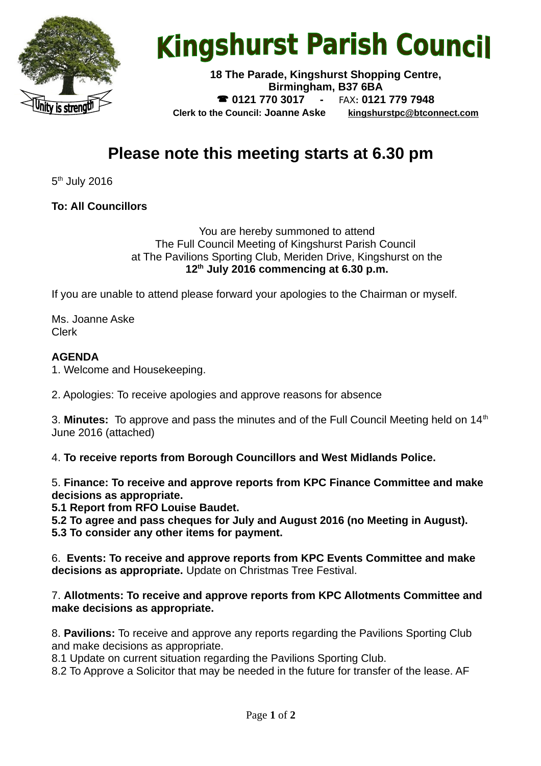

# **Kingshurst Parish Council**

**18 The Parade, Kingshurst Shopping Centre, Birmingham, B37 6BA 0121 770 3017 -** FAX**: 0121 779 7948 Clerk to the Council: Joanne Aske [kingshurstpc@btconnect.com](mailto:kingshurstpc@btconnect.com)**

# **Please note this meeting starts at 6.30 pm**

 $5<sup>th</sup>$  July 2016

**To: All Councillors**

You are hereby summoned to attend The Full Council Meeting of Kingshurst Parish Council at The Pavilions Sporting Club, Meriden Drive, Kingshurst on the **12th July 2016 commencing at 6.30 p.m.**

If you are unable to attend please forward your apologies to the Chairman or myself.

Ms. Joanne Aske Clerk

#### **AGENDA**

1. Welcome and Housekeeping.

2. Apologies: To receive apologies and approve reasons for absence

3. Minutes: To approve and pass the minutes and of the Full Council Meeting held on 14<sup>th</sup> June 2016 (attached)

4. **To receive reports from Borough Councillors and West Midlands Police.**

5. **Finance: To receive and approve reports from KPC Finance Committee and make decisions as appropriate.**

**5.1 Report from RFO Louise Baudet.**

**5.2 To agree and pass cheques for July and August 2016 (no Meeting in August). 5.3 To consider any other items for payment.**

6. **Events: To receive and approve reports from KPC Events Committee and make decisions as appropriate.** Update on Christmas Tree Festival.

#### 7. **Allotments: To receive and approve reports from KPC Allotments Committee and make decisions as appropriate.**

8. **Pavilions:** To receive and approve any reports regarding the Pavilions Sporting Club and make decisions as appropriate.

8.1 Update on current situation regarding the Pavilions Sporting Club.

8.2 To Approve a Solicitor that may be needed in the future for transfer of the lease. AF